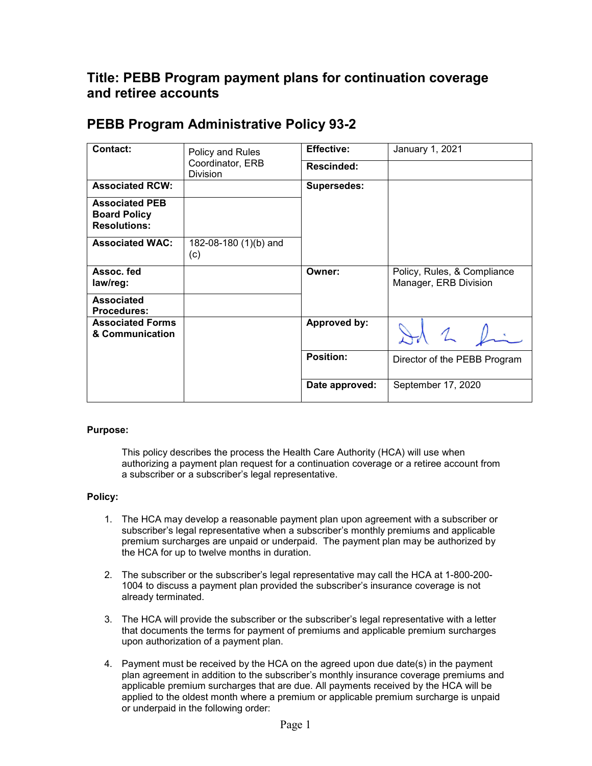## **Title: PEBB Program payment plans for continuation coverage and retiree accounts**

## **PEBB Program Administrative Policy 93-2**

| <b>Contact:</b>                                                     | Policy and Rules<br>Coordinator, ERB<br><b>Division</b> | <b>Effective:</b>  | January 1, 2021                                      |
|---------------------------------------------------------------------|---------------------------------------------------------|--------------------|------------------------------------------------------|
|                                                                     |                                                         | Rescinded:         |                                                      |
| <b>Associated RCW:</b>                                              |                                                         | <b>Supersedes:</b> |                                                      |
| <b>Associated PEB</b><br><b>Board Policy</b><br><b>Resolutions:</b> |                                                         |                    |                                                      |
| <b>Associated WAC:</b>                                              | 182-08-180 (1)(b) and<br>(c)                            |                    |                                                      |
| Assoc. fed<br>law/reg:                                              |                                                         | Owner:             | Policy, Rules, & Compliance<br>Manager, ERB Division |
| <b>Associated</b><br><b>Procedures:</b>                             |                                                         |                    |                                                      |
| <b>Associated Forms</b><br>& Communication                          |                                                         | Approved by:       |                                                      |
|                                                                     |                                                         | <b>Position:</b>   | Director of the PEBB Program                         |
|                                                                     |                                                         | Date approved:     | September 17, 2020                                   |

## **Purpose:**

This policy describes the process the Health Care Authority (HCA) will use when authorizing a payment plan request for a continuation coverage or a retiree account from a subscriber or a subscriber's legal representative.

## **Policy:**

- 1. The HCA may develop a reasonable payment plan upon agreement with a subscriber or subscriber's legal representative when a subscriber's monthly premiums and applicable premium surcharges are unpaid or underpaid. The payment plan may be authorized by the HCA for up to twelve months in duration.
- 2. The subscriber or the subscriber's legal representative may call the HCA at 1-800-200- 1004 to discuss a payment plan provided the subscriber's insurance coverage is not already terminated.
- 3. The HCA will provide the subscriber or the subscriber's legal representative with a letter that documents the terms for payment of premiums and applicable premium surcharges upon authorization of a payment plan.
- 4. Payment must be received by the HCA on the agreed upon due date(s) in the payment plan agreement in addition to the subscriber's monthly insurance coverage premiums and applicable premium surcharges that are due. All payments received by the HCA will be applied to the oldest month where a premium or applicable premium surcharge is unpaid or underpaid in the following order: